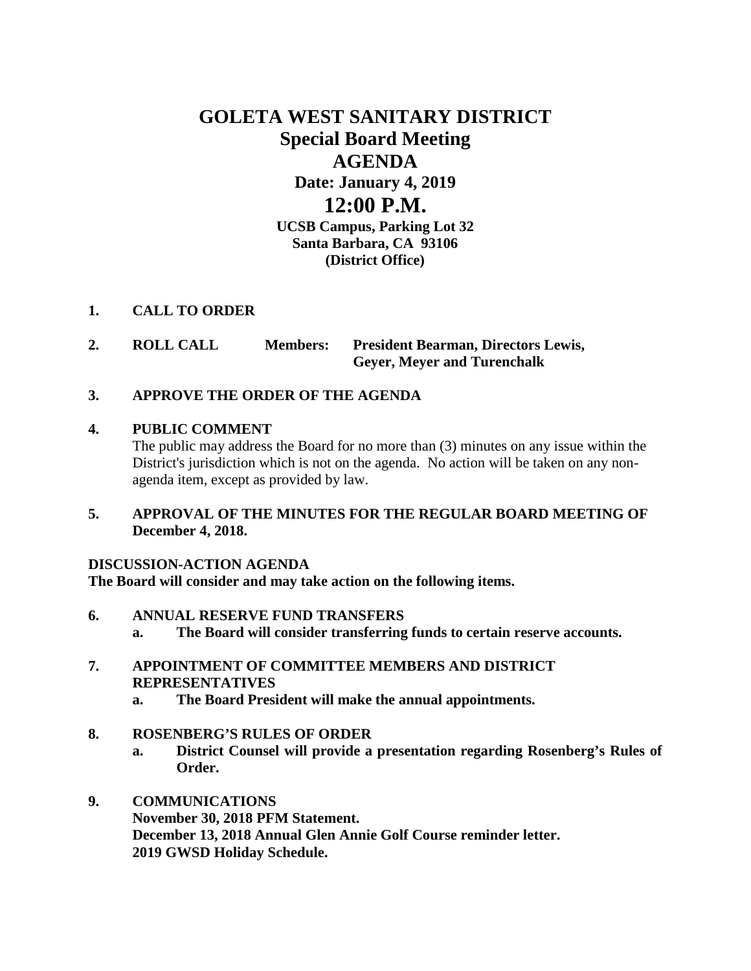# **GOLETA WEST SANITARY DISTRICT Special Board Meeting AGENDA Date: January 4, 2019 12:00 P.M.**

**UCSB Campus, Parking Lot 32 Santa Barbara, CA 93106 (District Office)**

# **1. CALL TO ORDER**

**2. ROLL CALL Members: President Bearman, Directors Lewis, Geyer, Meyer and Turenchalk**

# **3. APPROVE THE ORDER OF THE AGENDA**

#### **4. PUBLIC COMMENT**

The public may address the Board for no more than (3) minutes on any issue within the District's jurisdiction which is not on the agenda. No action will be taken on any nonagenda item, except as provided by law.

# **5. APPROVAL OF THE MINUTES FOR THE REGULAR BOARD MEETING OF December 4, 2018.**

#### **DISCUSSION-ACTION AGENDA**

**The Board will consider and may take action on the following items.**

- **6. ANNUAL RESERVE FUND TRANSFERS a. The Board will consider transferring funds to certain reserve accounts.**
- **7. APPOINTMENT OF COMMITTEE MEMBERS AND DISTRICT REPRESENTATIVES**
	- **a. The Board President will make the annual appointments.**
- **8. ROSENBERG'S RULES OF ORDER**
	- **a. District Counsel will provide a presentation regarding Rosenberg's Rules of Order.**

# **9. COMMUNICATIONS November 30, 2018 PFM Statement. December 13, 2018 Annual Glen Annie Golf Course reminder letter. 2019 GWSD Holiday Schedule.**